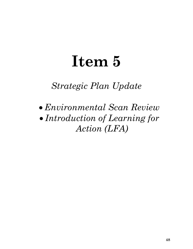# **Item 5**

### *Strategic Plan Update*

• *Environmental Scan Review*  • *Introduction of Learning for Action (LFA)*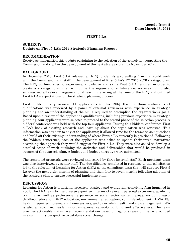#### **FIRST 5 LA**

#### **SUBJECT: Update on First 5 LA's 2014 Strategic Planning Process**

#### **RECOMMENDATION:**

Receive as information this update pertaining to the selection of the consultant supporting the Commission and staff in the development of the next strategic plan by November 2014.

#### **BACKGROUND:**

In December 2013, First 5 LA released an RFQ to identify a consulting firm that could work with the Commission and staff in the development of First 5 LA's FY 2015-2020 strategic plan. The RFQ outlined specific experience, knowledge and skills First 5 LA required in order to create a strategic plan that will guide the organization's future decision-making. It also summarized all relevant organizational learning existing at the time of the RFQ and outlined First 5 LA's expectations for the strategic planning process.

First 5 LA initially received 11 applications to this RFQ. Each of these statements of qualifications was reviewed by a panel of external reviewers with experience in strategic planning and an understanding of the skills required to accomplish the organization's goals. Based upon a review of the applicant's qualifications, including previous experience in strategic planning, four applicants were selected to proceed to the second phase of the selection process. A bidders' conference was held with the top four applicants. During this bidders' conference First 5 LA's body of existing research and learning about the organization was reviewed. This information was not new to any of the applicants; it allowed time for the teams to ask questions and build off their existing understanding of where First 5 LA currently is positioned. Following the bidders' conference, each of the applicants was asked to update their initial narratives describing the approach they would suggest for First 5 LA. They were also asked to develop a detailed scope of work outlining the activities and deliverables that would be produced in support of the strategic plan. A budget and budget narrative were submitted.

The completed proposals were reviewed and scored by three internal staff. Each applicant team was also interviewed by senior staff. The due diligence completed in response to this solicitation led to the selection of Learning for Action (LFA) as the consultant team that will support First 5 LA over the next eight months of planning and then four to seven months following adoption of the strategic plan to ensure successful implementation.

#### **DISCUSSION:**

Learning for Action is a national research, strategy and evaluation consulting firm launched in 2001. The LFA team brings diverse expertise in terms of relevant personal experience, academic training as well as professional experience in social sector content areas, including early childhood education, K-12 education, environmental education, youth development, HIV/AIDS, health inequities, housing and homelessness, and older adult health and civic engagement. LFA is also a recognized leader in organizational capacity building and effectiveness. The team provides actionable, data-driven recommendations based on rigorous research that is grounded in a community perspective to catalyze social change.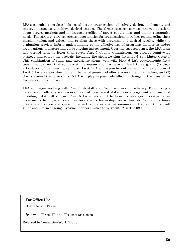LFA's consulting services help social sector organizations effectively design, implement, and improve strategies to achieve desired impact. The firm's [research](http://www.learningforaction.com/services/research-services/) services answer questions about service markets and landscapes, profiles of target populations, and unmet community needs. The strategy services create opportunities for organizations to reflect on and refine their mission, vision, and values, and to align these with programs and desired results, while the evaluation services inform understanding of the effectiveness of programs, initiatives and/or organizations to inspire and guide ongoing improvement. Over the past ten years, the LFA team has worked with no fewer than seven First 5 County Commissions on various countywide strategy and evaluation projects, including the strategic plan for First 5 San Mateo County. This combination of skills and experience aligns well with First 5 LA's requirements for a consulting partner that can assist the organization achieve at least three goals: (1) clear articulation of the measurable impact First 5 LA will aspire to contribute to; (2) greater focus of First 5 LA' strategic direction and better alignment of efforts across the organization; and (3) clarity around the role(s) First 5 LA will play in positively affecting change in the lives of LA County's young children.

LFA will begin working with First 5 LA staff and Commissioners immediately. By utilizing a data-driven, collaborative process informed by external stakeholder engagement and financial modeling, LFA will support First 5 LA in its effort to focus its strategic priorities, align investments to projected revenues, leverage its leadership role within LA County to achieve greater countywide and systemic impact, and create a decision-making framework that will guide and inform ongoing investment opportunities throughout FY 2015-2020.

| For Office Use<br>Board Action Taken: |  |
|---------------------------------------|--|
| Approved: Yes No Further Discussion   |  |
| Referred to Committee/Work Group:     |  |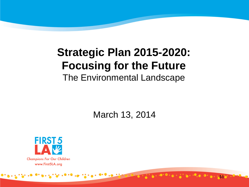## **Strategic Plan 2015-2020: Focusing for the Future**  The Environmental Landscape

March 13, 2014

**51**

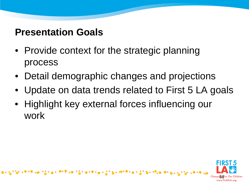#### **Presentation Goals**

- Provide context for the strategic planning process
- Detail demographic changes and projections
- Update on data trends related to First 5 LA goals
- Highlight key external forces influencing our work

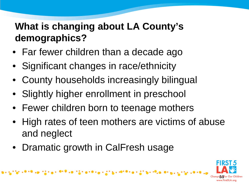## **What is changing about LA County's demographics?**

- Far fewer children than a decade ago
- Significant changes in race/ethnicity
- County households increasingly bilingual
- Slightly higher enrollment in preschool
- Fewer children born to teenage mothers

.019 val.121 a10 val.1121 svi 1010 val.121 svi 10,

- High rates of teen mothers are victims of abuse and neglect
- Dramatic growth in CalFresh usage

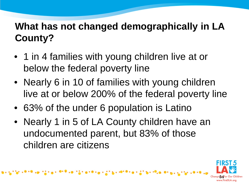## **What has not changed demographically in LA County?**

- 1 in 4 families with young children live at or below the federal poverty line
- Nearly 6 in 10 of families with young children live at or below 200% of the federal poverty line
- 63% of the under 6 population is Latino
- Nearly 1 in 5 of LA County children have an undocumented parent, but 83% of those children are citizens

[마이크] 이 그 집에 좀 이야기는 나 있지 않고 나머지마 아는 이 것이 됩니다^^;

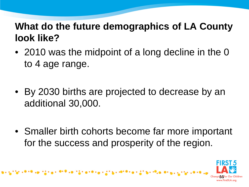### **What do the future demographics of LA County look like?**

- 2010 was the midpoint of a long decline in the 0 to 4 age range.
- By 2030 births are projected to decrease by an additional 30,000.
- Smaller birth cohorts become far more important for the success and prosperity of the region.

 $\mathbf{1} \cdot \mathbf{0} = \mathbf{0} \cdot \frac{1}{2} \cdot \mathbf{0} + \mathbf{0} \cdot \mathbf{0} + \frac{1}{2} \cdot \mathbf{0} + \frac{1}{2} \cdot \mathbf{0} + \mathbf{0} \cdot \mathbf{0} + \mathbf{0} \cdot \mathbf{0} + \frac{1}{2} \cdot \mathbf{0}$ 

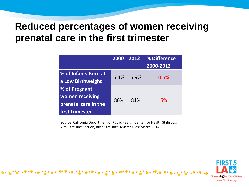#### **Reduced percentages of women receiving prenatal care in the first trimester**

|                                                                             | 2000 | 2012 | % Difference<br>2000-2012 |
|-----------------------------------------------------------------------------|------|------|---------------------------|
| % of Infants Born at<br>a Low Birthweight                                   | 6.4% | 6.9% | 0.5%                      |
| % of Pregnant<br>women receiving<br>prenatal care in the<br>first trimester | 86%  | 81%  | 5%                        |

Source: California Department of Public Health, Center for Health Statistics, Vital Statistics Section, Birth Statistical Master Files; March 2014

17.0 isto

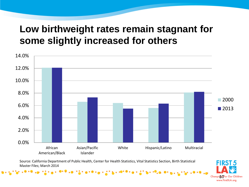#### **Low birthweight rates remain stagnant for some slightly increased for others**



Source: California Department of Public Health, Center for Health Statistics, Vital Statistics Section, Birth Statistical Master Files; March 2014

"400 그는 이용 이 이 모든 아이들이 동생하시는 사건이 높고 제대하시는 사건이 됩니까?"

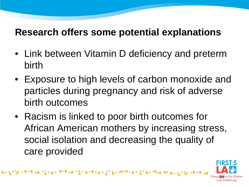#### **Research offers some potential explanations**

- Link between Vitamin D deficiency and preterm birth
- Exposure to high levels of carbon monoxide and particles during pregnancy and risk of adverse birth outcomes
- Racism is linked to poor birth outcomes for African American mothers by increasing stress, social isolation and decreasing the quality of care provided

 $\mathbf{0.19} \times \mathbf{0.12} \times \mathbf{0.19} \times \mathbf{0.12} \times \mathbf{1.13} \times \mathbf{1.17} \times \mathbf{0.17} \times \mathbf{0.17} \times \mathbf{1.17}$ 

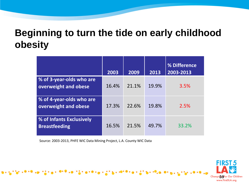#### **Beginning to turn the tide on early childhood obesity**

|                                                  | 2003  | 2009  | 2013  | % Difference<br>2003-2013 |
|--------------------------------------------------|-------|-------|-------|---------------------------|
| % of 3-year-olds who are<br>overweight and obese | 16.4% | 21.1% | 19.9% | 3.5%                      |
| % of 4-year-olds who are<br>overweight and obese | 17.3% | 22.6% | 19.8% | 2.5%                      |
| % of Infants Exclusively<br><b>Breastfeeding</b> | 16.5% | 21.5% | 49.7% | 33.2%                     |

Source: 2003-2013, PHFE WIC Data Mining Project, L.A. County WIC Data

y ve nam

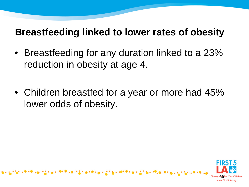#### **Breastfeeding linked to lower rates of obesity**

- Breastfeeding for any duration linked to a 23% reduction in obesity at age 4.
- Children breastfed for a year or more had 45% lower odds of obesity.

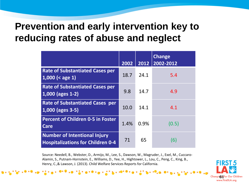#### **Prevention and early intervention key to reducing rates of abuse and neglect**

|                                                                                 | 2002 | 2012 | <b>Change</b><br>2002-2012 |
|---------------------------------------------------------------------------------|------|------|----------------------------|
| <b>Rate of Substantiated Cases per</b><br>$1,000$ (< age 1)                     | 18.7 | 24.1 | 5.4                        |
| <b>Rate of Substantiated Cases per</b><br>$1,000$ (ages 1-2)                    | 9.8  | 14.7 | 4.9                        |
| <b>Rate of Substantiated Cases per</b><br>1,000 (ages 3-5)                      | 10.0 | 14.1 | 4.1                        |
| <b>Percent of Children 0-5 in Foster</b><br><b>Care</b>                         | 1.4% | 0.9% | (0.5)                      |
| <b>Number of Intentional Injury</b><br><b>Hospitalizations for Children 0-4</b> | 71   | 65   | (6)                        |

Source: Needell, B., Webster, D., Armijo, M., Lee, S., Dawson, W., Magruder, J., Exel, M., Cuccaro-Alamin, S., Putnam-Hornstein, E., Williams, D., Yee, H., Hightower, L., Lou, C., Peng, C., King, B., Henry, C.,& Lawson, J. (2013). Child Welfare Services Reports for California.

 $\bullet \cdot \bullet \cdot 2$ 

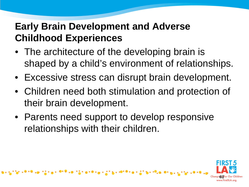## **Early Brain Development and Adverse Childhood Experiences**

- The architecture of the developing brain is shaped by a child's environment of relationships.
- Excessive stress can disrupt brain development.
- Children need both stimulation and protection of their brain development.
- Parents need support to develop responsive relationships with their children.

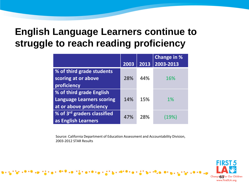#### **English Language Learners continue to struggle to reach reading proficiency**

|                                  |      |      | <b>Change in %</b> |
|----------------------------------|------|------|--------------------|
|                                  | 2003 | 2013 | 2003-2013          |
| % of third grade students        |      |      |                    |
| scoring at or above              | 28%  | 44%  | 16%                |
| proficiency                      |      |      |                    |
| % of third grade English         |      |      |                    |
| <b>Language Learners scoring</b> | 14%  | 15%  | $1\%$              |
| at or above proficiency          |      |      |                    |
| % of 3rd graders classified      | 47%  | 28%  | (19%)              |
| as English Learners              |      |      |                    |

Source: California Department of Education Assessment and Accountability Division, 2003-2012 STAR Results

 $\cdot$  ,  $\cdot$  ,  $\cdot$  ,  $\cdot$  ,  $\cdot$ 

. . . . . . . . . . . .

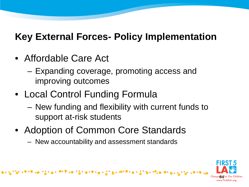## **Key External Forces- Policy Implementation**

- Affordable Care Act
	- Expanding coverage, promoting access and improving outcomes
- Local Control Funding Formula
	- New funding and flexibility with current funds to support at-risk students
- Adoption of Common Core Standards
	- New accountability and assessment standards

해 보니 아이들은 아이에 나는 사건이 높다. 이제 보니는 사건이 높다. 이

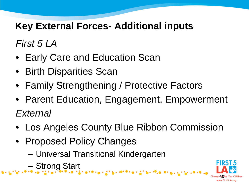## **Key External Forces- Additional inputs**

*First 5 LA*

- Early Care and Education Scan
- Birth Disparities Scan
- Family Strengthening / Protective Factors
- Parent Education, Engagement, Empowerment *External*
- Los Angeles County Blue Ribbon Commission

 $9.6.216.996$ 

- Proposed Policy Changes
	- Universal Transitional Kindergarten
	- Strong Start

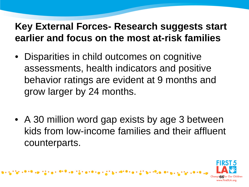## **Key External Forces- Research suggests start earlier and focus on the most at-risk families**

- Disparities in child outcomes on cognitive assessments, health indicators and positive behavior ratings are evident at 9 months and grow larger by 24 months.
- A 30 million word gap exists by age 3 between kids from low-income families and their affluent counterparts.

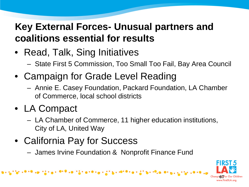## **Key External Forces- Unusual partners and coalitions essential for results**

- Read, Talk, Sing Initiatives
	- State First 5 Commission, Too Small Too Fail, Bay Area Council
- Campaign for Grade Level Reading
	- Annie E. Casey Foundation, Packard Foundation, LA Chamber of Commerce, local school districts
- LA Compact
	- LA Chamber of Commerce, 11 higher education institutions, City of LA, United Way
- California Pay for Success
	- James Irvine Foundation & Nonprofit Finance Fund

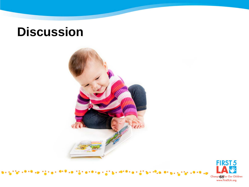## **Discussion**





 $. 0.010$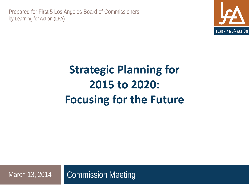Prepared for First 5 Los Angeles Board of Commissioners by Learning for Action (LFA)



# **Strategic Planning for 2015 to 2020: Focusing for the Future**

Commission Meeting March 13, 2014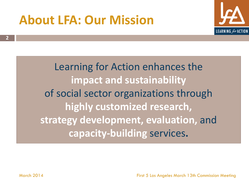## **About LFA: Our Mission**



Learning for Action enhances the **impact and sustainability**  of social sector organizations through **highly customized research, strategy development, evaluation,** and **capacity-building** services**.** 

**2**

March 2014 First 5 Los Angeles March 13th Commission Meeting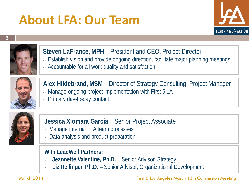# **About LFA: Our Team**







#### **Steven LaFrance, MPH** – President and CEO, Project Director

- Establish vision and provide ongoing direction, facilitate major planning meetings
- Accountable for all work quality and satisfaction



#### **Alex Hildebrand, MSM** – Director of Strategy Consulting, Project Manager

- Manage ongoing project implementation with First 5 LA
- Primary day-to-day contact



#### **Jessica Xiomara García** – Senior Project Associate

- Manage internal LFA team processes
- Data analysis and product preparation

#### **With LeadWell Partners:**

- **Jeannette Valentine, Ph.D.**  Senior Advisor, Strategy
- **Liz Reilinger, Ph.D.**  Senior Advisor, Organizational Development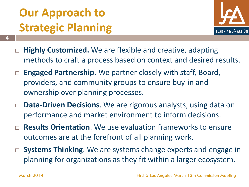# **Our Approach to Strategic Planning**



- **Highly Customized.** We are flexible and creative, adapting methods to craft a process based on context and desired results.
- **Engaged Partnership.** We partner closely with staff, Board, providers, and community groups to ensure buy-in and ownership over planning processes.
- **Data-Driven Decisions**. We are rigorous analysts, using data on performance and market environment to inform decisions.
- **Results Orientation**. We use evaluation frameworks to ensure outcomes are at the forefront of all planning work.
- □ **Systems Thinking**. We are systems change experts and engage in planning for organizations as they fit within a larger ecosystem.

**4**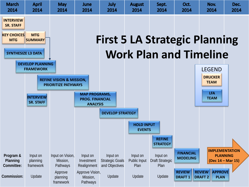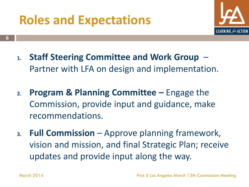# **Roles and Expectations**



- **1. Staff Steering Committee and Work Group**  Partner with LFA on design and implementation.
- **2. Program & Planning Committee –** Engage the Commission, provide input and guidance, make recommendations.
- **3. Full Commission**  Approve planning framework, vision and mission, and final Strategic Plan; receive updates and provide input along the way.

**6**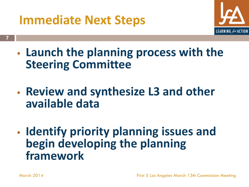## **Immediate Next Steps**



- **Launch the planning process with the Steering Committee**
- **Review and synthesize L3 and other available data**
- **Identify priority planning issues and begin developing the planning framework**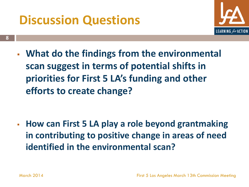# **Discussion Questions**



 **What do the findings from the environmental scan suggest in terms of potential shifts in priorities for First 5 LA's funding and other efforts to create change?**

 **How can First 5 LA play a role beyond grantmaking in contributing to positive change in areas of need identified in the environmental scan?**

**8**